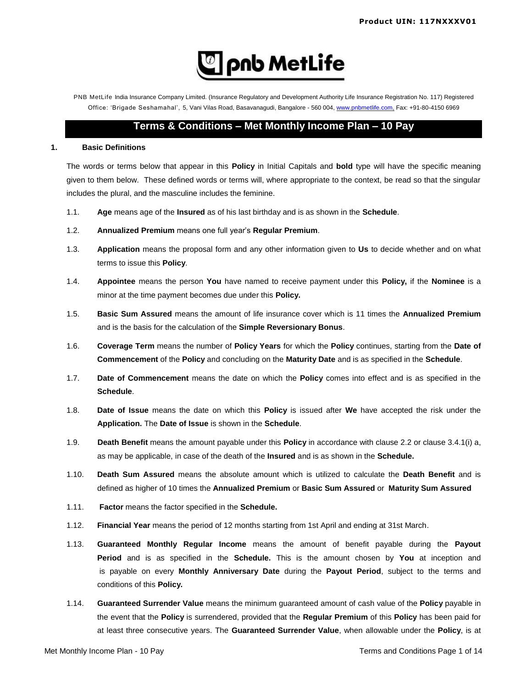

PNB MetLife India Insurance Company Limited. (Insurance Regulatory and Development Authority Life Insurance Registration No. 117) Registered Office: 'Brigade Seshamahal', 5, Vani Vilas Road, Basavanagudi, Bangalore - 560 004, www.pnbmetlife.com, Fax: +91-80-4150 6969

# **Terms & Conditions – Met Monthly Income Plan – 10 Pay**

# **1. Basic Definitions**

The words or terms below that appear in this **Policy** in Initial Capitals and **bold** type will have the specific meaning given to them below. These defined words or terms will, where appropriate to the context, be read so that the singular includes the plural, and the masculine includes the feminine.

- 1.1. **Age** means age of the **Insured** as of his last birthday and is as shown in the **Schedule**.
- 1.2. **Annualized Premium** means one full year's **Regular Premium**.
- 1.3. **Application** means the proposal form and any other information given to **Us** to decide whether and on what terms to issue this **Policy**.
- 1.4. **Appointee** means the person **You** have named to receive payment under this **Policy,** if the **Nominee** is a minor at the time payment becomes due under this **Policy.**
- 1.5. **Basic Sum Assured** means the amount of life insurance cover which is 11 times the **Annualized Premium** and is the basis for the calculation of the **Simple Reversionary Bonus**.
- 1.6. **Coverage Term** means the number of **Policy Years** for which the **Policy** continues, starting from the **Date of Commencement** of the **Policy** and concluding on the **Maturity Date** and is as specified in the **Schedule**.
- 1.7. **Date of Commencement** means the date on which the **Policy** comes into effect and is as specified in the **Schedule**.
- 1.8. **Date of Issue** means the date on which this **Policy** is issued after **We** have accepted the risk under the **Application.** The **Date of Issue** is shown in the **Schedule**.
- 1.9. **Death Benefit** means the amount payable under this **Policy** in accordance with clause 2.2 or clause 3.4.1(i) a, as may be applicable, in case of the death of the **Insured** and is as shown in the **Schedule.**
- 1.10. **Death Sum Assured** means the absolute amount which is utilized to calculate the **Death Benefit** and is defined as higher of 10 times the **Annualized Premium** or **Basic Sum Assured** or **Maturity Sum Assured**
- 1.11. **Factor** means the factor specified in the **Schedule.**
- 1.12. **Financial Year** means the period of 12 months starting from 1st April and ending at 31st March.
- 1.13. **Guaranteed Monthly Regular Income** means the amount of benefit payable during the **Payout Period** and is as specified in the **Schedule.** This is the amount chosen by **You** at inception and is payable on every **Monthly Anniversary Date** during the **Payout Period**, subject to the terms and conditions of this **Policy.**
- 1.14. **Guaranteed Surrender Value** means the minimum guaranteed amount of cash value of the **Policy** payable in the event that the **Policy** is surrendered, provided that the **Regular Premium** of this **Policy** has been paid for at least three consecutive years. The **Guaranteed Surrender Value**, when allowable under the **Policy**, is at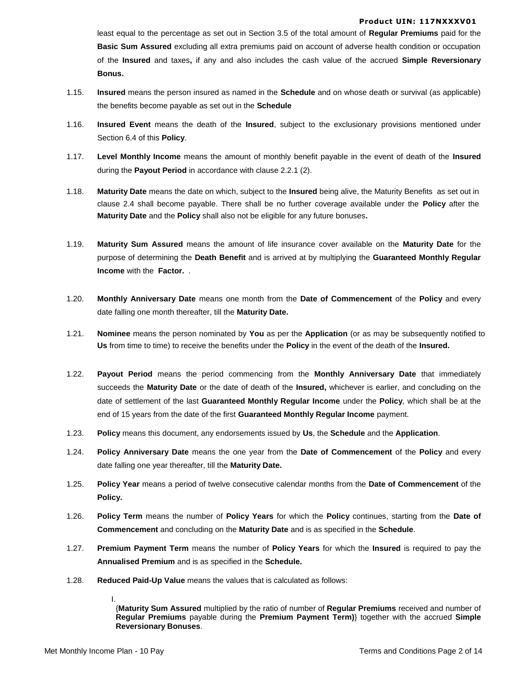least equal to the percentage as set out in Section 3.5 of the total amount of **Regular Premiums** paid for the **Basic Sum Assured** excluding all extra premiums paid on account of adverse health condition or occupation of the **Insured** and taxes**,** if any and also includes the cash value of the accrued **Simple Reversionary Bonus.**

- 1.15. **Insured** means the person insured as named in the **Schedule** and on whose death or survival (as applicable) the benefits become payable as set out in the **Schedule**
- 1.16. **Insured Event** means the death of the **Insured**, subject to the exclusionary provisions mentioned under Section 6.4 of this **Policy**.
- 1.17. **Level Monthly Income** means the amount of monthly benefit payable in the event of death of the **Insured** during the **Payout Period** in accordance with clause 2.2.1 (2).
- 1.18. **Maturity Date** means the date on which, subject to the **Insured** being alive, the Maturity Benefits as set out in clause 2.4 shall become payable. There shall be no further coverage available under the **Policy** after the **Maturity Date** and the **Policy** shall also not be eligible for any future bonuses**.**
- 1.19. **Maturity Sum Assured** means the amount of life insurance cover available on the **Maturity Date** for the purpose of determining the **Death Benefit** and is arrived at by multiplying the **Guaranteed Monthly Regular Income** with the **Factor.** .
- 1.20. **Monthly Anniversary Date** means one month from the **Date of Commencement** of the **Policy** and every date falling one month thereafter, till the **Maturity Date.**
- 1.21. **Nominee** means the person nominated by **You** as per the **Application** (or as may be subsequently notified to **Us** from time to time) to receive the benefits under the **Policy** in the event of the death of the **Insured.**
- 1.22. **Payout Period** means the period commencing from the **Monthly Anniversary Date** that immediately succeeds the **Maturity Date** or the date of death of the **Insured,** whichever is earlier, and concluding on the date of settlement of the last **Guaranteed Monthly Regular Income** under the **Policy**, which shall be at the end of 15 years from the date of the first **Guaranteed Monthly Regular Income** payment.
- 1.23. **Policy** means this document, any endorsements issued by **Us**, the **Schedule** and the **Application**.
- 1.24. **Policy Anniversary Date** means the one year from the **Date of Commencement** of the **Policy** and every date falling one year thereafter, till the **Maturity Date.**
- 1.25. **Policy Year** means a period of twelve consecutive calendar months from the **Date of Commencement** of the **Policy.**
- 1.26. **Policy Term** means the number of **Policy Years** for which the **Policy** continues, starting from the **Date of Commencement** and concluding on the **Maturity Date** and is as specified in the **Schedule**.
- 1.27. **Premium Payment Term** means the number of **Policy Years** for which the **Insured** is required to pay the **Annualised Premium** and is as specified in the **Schedule.**
- 1.28. **Reduced Paid-Up Value** means the values that is calculated as follows:
	- I.

{**Maturity Sum Assured** multiplied by the ratio of number of **Regular Premiums** received and number of **Regular Premiums** payable during the **Premium Payment Term)**} together with the accrued **Simple Reversionary Bonuses**.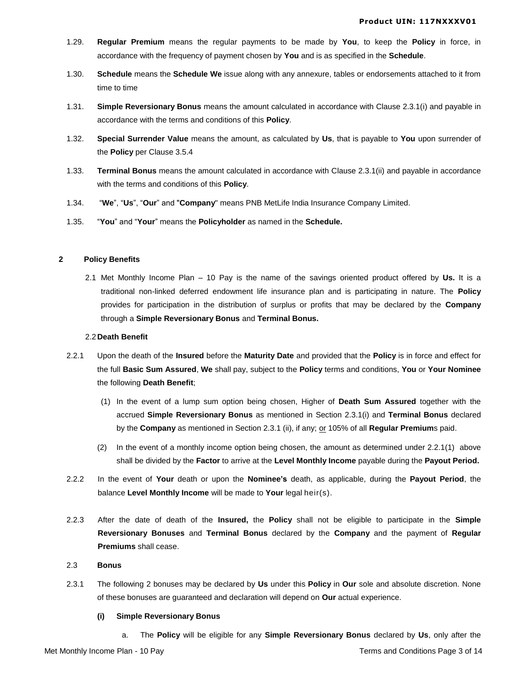- 1.29. **Regular Premium** means the regular payments to be made by **You**, to keep the **Policy** in force, in accordance with the frequency of payment chosen by **You** and is as specified in the **Schedule**.
- 1.30. **Schedule** means the **Schedule We** issue along with any annexure, tables or endorsements attached to it from time to time
- 1.31. **Simple Reversionary Bonus** means the amount calculated in accordance with Clause 2.3.1(i) and payable in accordance with the terms and conditions of this **Policy**.
- 1.32. **Special Surrender Value** means the amount, as calculated by **Us**, that is payable to **You** upon surrender of the **Policy** per Clause 3.5.4
- 1.33. **Terminal Bonus** means the amount calculated in accordance with Clause 2.3.1(ii) and payable in accordance with the terms and conditions of this **Policy**.
- 1.34. "**We**", "**Us**", "**Our**" and "**Company**" means PNB MetLife India Insurance Company Limited.
- 1.35. "**You**" and "**Your**" means the **Policyholder** as named in the **Schedule.**

# **2 Policy Benefits**

2.1 Met Monthly Income Plan – 10 Pay is the name of the savings oriented product offered by **Us.** It is a traditional non-linked deferred endowment life insurance plan and is participating in nature. The **Policy**  provides for participation in the distribution of surplus or profits that may be declared by the **Company** through a **Simple Reversionary Bonus** and **Terminal Bonus.**

# 2.2**Death Benefit**

- 2.2.1 Upon the death of the **Insured** before the **Maturity Date** and provided that the **Policy** is in force and effect for the full **Basic Sum Assured**, **We** shall pay, subject to the **Policy** terms and conditions, **You** or **Your Nominee** the following **Death Benefit**;
	- (1) In the event of a lump sum option being chosen, Higher of **Death Sum Assured** together with the accrued **Simple Reversionary Bonus** as mentioned in Section 2.3.1(i) and **Terminal Bonus** declared by the **Company** as mentioned in Section 2.3.1 (ii), if any; or 105% of all **Regular Premium**s paid.
	- (2) In the event of a monthly income option being chosen, the amount as determined under 2.2.1(1) above shall be divided by the **Factor** to arrive at the **Level Monthly Income** payable during the **Payout Period.**
- 2.2.2 In the event of **Your** death or upon the **Nominee's** death, as applicable, during the **Payout Period**, the balance **Level Monthly Income** will be made to **Your** legal heir(s).
- 2.2.3 After the date of death of the **Insured,** the **Policy** shall not be eligible to participate in the **Simple Reversionary Bonuses** and **Terminal Bonus** declared by the **Company** and the payment of **Regular Premiums** shall cease.

# 2.3 **Bonus**

2.3.1 The following 2 bonuses may be declared by **Us** under this **Policy** in **Our** sole and absolute discretion. None of these bonuses are guaranteed and declaration will depend on **Our** actual experience.

# **(i) Simple Reversionary Bonus**

a. The **Policy** will be eligible for any **Simple Reversionary Bonus** declared by **Us**, only after the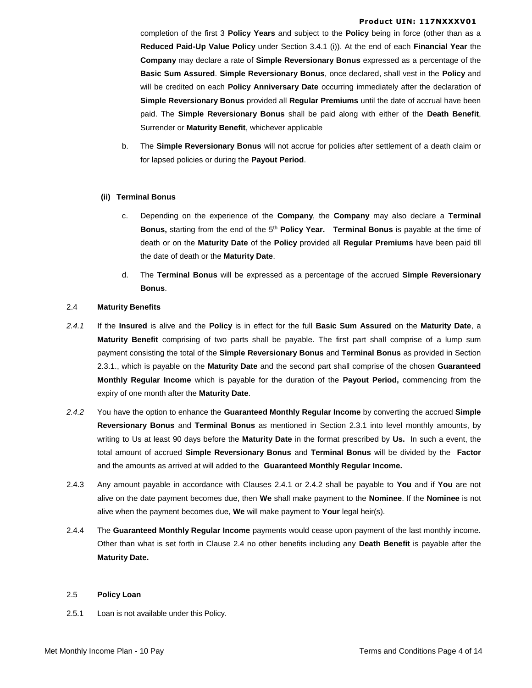completion of the first 3 **Policy Years** and subject to the **Policy** being in force (other than as a **Reduced Paid-Up Value Policy** under Section 3.4.1 (i)). At the end of each **Financial Year** the **Company** may declare a rate of **Simple Reversionary Bonus** expressed as a percentage of the **Basic Sum Assured**. **Simple Reversionary Bonus**, once declared, shall vest in the **Policy** and will be credited on each **Policy Anniversary Date** occurring immediately after the declaration of **Simple Reversionary Bonus** provided all **Regular Premiums** until the date of accrual have been paid. The **Simple Reversionary Bonus** shall be paid along with either of the **Death Benefit**, Surrender or **Maturity Benefit**, whichever applicable

b. The **Simple Reversionary Bonus** will not accrue for policies after settlement of a death claim or for lapsed policies or during the **Payout Period**.

# **(ii) Terminal Bonus**

- c. Depending on the experience of the **Company**, the **Company** may also declare a **Terminal Bonus,** starting from the end of the 5 th **Policy Year. Terminal Bonus** is payable at the time of death or on the **Maturity Date** of the **Policy** provided all **Regular Premiums** have been paid till the date of death or the **Maturity Date**.
- d. The **Terminal Bonus** will be expressed as a percentage of the accrued **Simple Reversionary Bonus**.

# 2.4 **Maturity Benefits**

- *2.4.1* If the **Insured** is alive and the **Policy** is in effect for the full **Basic Sum Assured** on the **Maturity Date**, a **Maturity Benefit** comprising of two parts shall be payable. The first part shall comprise of a lump sum payment consisting the total of the **Simple Reversionary Bonus** and **Terminal Bonus** as provided in Section 2.3.1., which is payable on the **Maturity Date** and the second part shall comprise of the chosen **Guaranteed Monthly Regular Income** which is payable for the duration of the **Payout Period,** commencing from the expiry of one month after the **Maturity Date**.
- *2.4.2* You have the option to enhance the **Guaranteed Monthly Regular Income** by converting the accrued **Simple Reversionary Bonus** and **Terminal Bonus** as mentioned in Section 2.3.1 into level monthly amounts, by writing to Us at least 90 days before the **Maturity Date** in the format prescribed by **Us.** In such a event, the total amount of accrued **Simple Reversionary Bonus** and **Terminal Bonus** will be divided by the **Factor** and the amounts as arrived at will added to the **Guaranteed Monthly Regular Income.**
- 2.4.3 Any amount payable in accordance with Clauses 2.4.1 or 2.4.2 shall be payable to **You** and if **You** are not alive on the date payment becomes due, then **We** shall make payment to the **Nominee**. If the **Nominee** is not alive when the payment becomes due, **We** will make payment to **Your** legal heir(s).
- 2.4.4 The **Guaranteed Monthly Regular Income** payments would cease upon payment of the last monthly income. Other than what is set forth in Clause 2.4 no other benefits including any **Death Benefit** is payable after the **Maturity Date.**

#### 2.5 **Policy Loan**

2.5.1 Loan is not available under this Policy.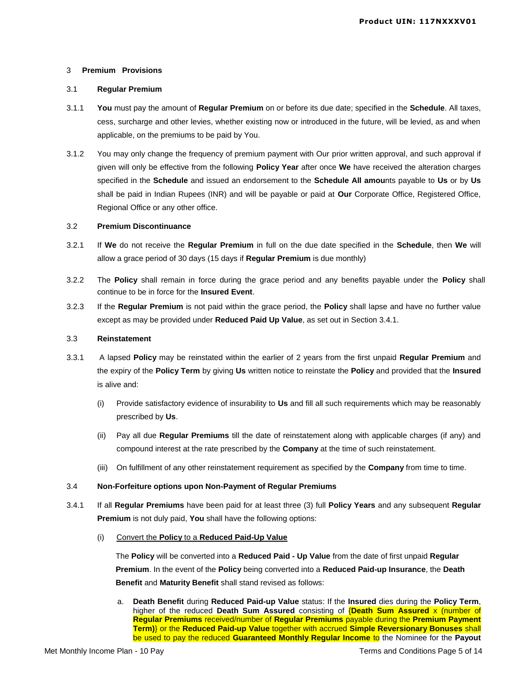#### 3 **Premium Provisions**

# 3.1 **Regular Premium**

- 3.1.1 **You** must pay the amount of **Regular Premium** on or before its due date; specified in the **Schedule**. All taxes, cess, surcharge and other levies, whether existing now or introduced in the future, will be levied, as and when applicable, on the premiums to be paid by You.
- 3.1.2 You may only change the frequency of premium payment with Our prior written approval, and such approval if given will only be effective from the following **Policy Year** after once **We** have received the alteration charges specified in the **Schedule** and issued an endorsement to the **Schedule All amou**nts payable to **Us** or by **Us** shall be paid in Indian Rupees (INR) and will be payable or paid at **Our** Corporate Office, Registered Office, Regional Office or any other office.

# 3.2 **Premium Discontinuance**

- 3.2.1 If **We** do not receive the **Regular Premium** in full on the due date specified in the **Schedule**, then **We** will allow a grace period of 30 days (15 days if **Regular Premium** is due monthly)
- 3.2.2 The **Policy** shall remain in force during the grace period and any benefits payable under the **Policy** shall continue to be in force for the **Insured Event**.
- 3.2.3 If the **Regular Premium** is not paid within the grace period, the **Policy** shall lapse and have no further value except as may be provided under **Reduced Paid Up Value**, as set out in Section 3.4.1.

# 3.3 **Reinstatement**

- 3.3.1 A lapsed **Policy** may be reinstated within the earlier of 2 years from the first unpaid **Regular Premium** and the expiry of the **Policy Term** by giving **Us** written notice to reinstate the **Policy** and provided that the **Insured** is alive and:
	- (i) Provide satisfactory evidence of insurability to **Us** and fill all such requirements which may be reasonably prescribed by **Us**.
	- (ii) Pay all due **Regular Premiums** till the date of reinstatement along with applicable charges (if any) and compound interest at the rate prescribed by the **Company** at the time of such reinstatement.
	- (iii) On fulfillment of any other reinstatement requirement as specified by the **Company** from time to time.

# 3.4 **Non-Forfeiture options upon Non-Payment of Regular Premiums**

- 3.4.1 If all **Regular Premiums** have been paid for at least three (3) full **Policy Years** and any subsequent **Regular Premium** is not duly paid, **You** shall have the following options:
	- (i) Convert the **Policy** to a **Reduced Paid-Up Value**

The **Policy** will be converted into a **Reduced Paid - Up Value** from the date of first unpaid **Regular Premium**. In the event of the **Policy** being converted into a **Reduced Paid-up Insurance**, the **Death Benefit** and **Maturity Benefit** shall stand revised as follows:

a. **Death Benefit** during **Reduced Paid-up Value** status: If the **Insured** dies during the **Policy Term**, higher of the reduced **Death Sum Assured** consisting of {**Death Sum Assured** x (number of **Regular Premiums** received/number of **Regular Premiums** payable during the **Premium Payment Term)**} or the **Reduced Paid-up Value** together with accrued **Simple Reversionary Bonuses** shall be used to pay the reduced **Guaranteed Monthly Regular Income to** the Nominee for the Payout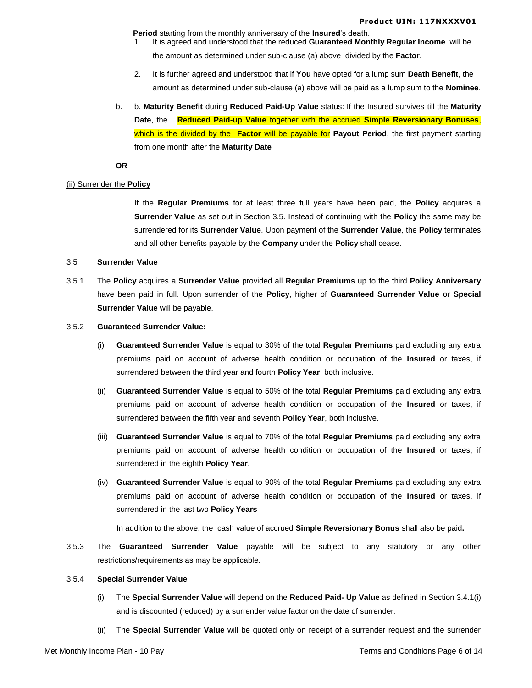**Period** starting from the monthly anniversary of the **Insured**'s death.

- 1. It is agreed and understood that the reduced **Guaranteed Monthly Regular Income** will be the amount as determined under sub-clause (a) above divided by the **Factor**.
- 2. It is further agreed and understood that if **You** have opted for a lump sum **Death Benefit**, the amount as determined under sub-clause (a) above will be paid as a lump sum to the **Nominee**.
- b. b. **Maturity Benefit** during **Reduced Paid-Up Value** status: If the Insured survives till the **Maturity Date**, the **Reduced Paid-up Value** together with the accrued **Simple Reversionary Bonuses**, which is the divided by the **Factor** will be payable for **Payout Period**, the first payment starting from one month after the **Maturity Date**

**OR**

### (ii) Surrender the **Policy**

If the **Regular Premiums** for at least three full years have been paid, the **Policy** acquires a **Surrender Value** as set out in Section 3.5. Instead of continuing with the **Policy** the same may be surrendered for its **Surrender Value**. Upon payment of the **Surrender Value**, the **Policy** terminates and all other benefits payable by the **Company** under the **Policy** shall cease.

# 3.5 **Surrender Value**

3.5.1 The **Policy** acquires a **Surrender Value** provided all **Regular Premiums** up to the third **Policy Anniversary** have been paid in full. Upon surrender of the **Policy**, higher of **Guaranteed Surrender Value** or **Special Surrender Value** will be payable.

# 3.5.2 **Guaranteed Surrender Value:**

- (i) **Guaranteed Surrender Value** is equal to 30% of the total **Regular Premiums** paid excluding any extra premiums paid on account of adverse health condition or occupation of the **Insured** or taxes, if surrendered between the third year and fourth **Policy Year**, both inclusive.
- (ii) **Guaranteed Surrender Value** is equal to 50% of the total **Regular Premiums** paid excluding any extra premiums paid on account of adverse health condition or occupation of the **Insured** or taxes, if surrendered between the fifth year and seventh **Policy Year**, both inclusive.
- (iii) **Guaranteed Surrender Value** is equal to 70% of the total **Regular Premiums** paid excluding any extra premiums paid on account of adverse health condition or occupation of the **Insured** or taxes, if surrendered in the eighth **Policy Year**.
- (iv) **Guaranteed Surrender Value** is equal to 90% of the total **Regular Premiums** paid excluding any extra premiums paid on account of adverse health condition or occupation of the **Insured** or taxes, if surrendered in the last two **Policy Years**

In addition to the above, the cash value of accrued **Simple Reversionary Bonus** shall also be paid**.** 

3.5.3 The **Guaranteed Surrender Value** payable will be subject to any statutory or any other restrictions/requirements as may be applicable.

# 3.5.4 **Special Surrender Value**

- (i) The **Special Surrender Value** will depend on the **Reduced Paid- Up Value** as defined in Section 3.4.1(i) and is discounted (reduced) by a surrender value factor on the date of surrender.
- (ii) The **Special Surrender Value** will be quoted only on receipt of a surrender request and the surrender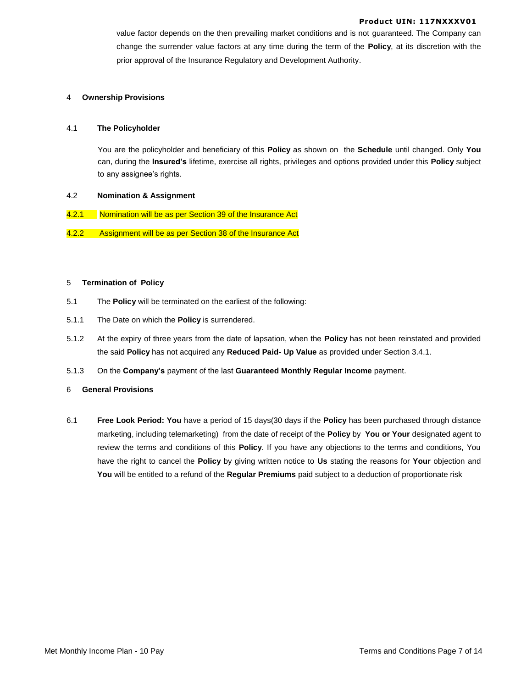value factor depends on the then prevailing market conditions and is not guaranteed. The Company can change the surrender value factors at any time during the term of the **Policy**, at its discretion with the prior approval of the Insurance Regulatory and Development Authority.

#### 4 **Ownership Provisions**

#### 4.1 **The Policyholder**

You are the policyholder and beneficiary of this **Policy** as shown on the **Schedule** until changed. Only **You** can, during the **Insured's** lifetime, exercise all rights, privileges and options provided under this **Policy** subject to any assignee's rights.

# 4.2 **Nomination & Assignment**

- 4.2.1 Nomination will be as per Section 39 of the Insurance Act
- 4.2.2 Assignment will be as per Section 38 of the Insurance Act

#### 5 **Termination of Policy**

- 5.1 The **Policy** will be terminated on the earliest of the following:
- 5.1.1 The Date on which the **Policy** is surrendered.
- 5.1.2 At the expiry of three years from the date of lapsation, when the **Policy** has not been reinstated and provided the said **Policy** has not acquired any **Reduced Paid- Up Value** as provided under Section 3.4.1.
- 5.1.3 On the **Company's** payment of the last **Guaranteed Monthly Regular Income** payment.

#### 6 **General Provisions**

6.1 **Free Look Period: You** have a period of 15 days(30 days if the **Policy** has been purchased through distance marketing, including telemarketing) from the date of receipt of the **Policy** by **You or Your** designated agent to review the terms and conditions of this **Policy**. If you have any objections to the terms and conditions, You have the right to cancel the **Policy** by giving written notice to **Us** stating the reasons for **Your** objection and **You** will be entitled to a refund of the **Regular Premiums** paid subject to a deduction of proportionate risk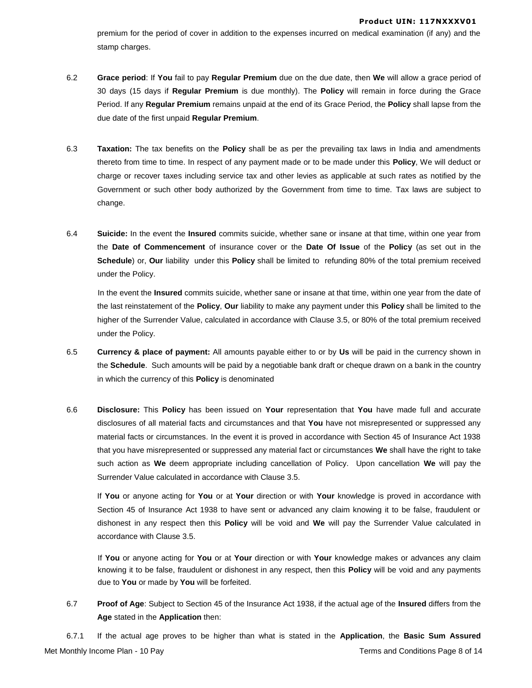premium for the period of cover in addition to the expenses incurred on medical examination (if any) and the stamp charges.

- 6.2 **Grace period**: If **You** fail to pay **Regular Premium** due on the due date, then **We** will allow a grace period of 30 days (15 days if **Regular Premium** is due monthly). The **Policy** will remain in force during the Grace Period. If any **Regular Premium** remains unpaid at the end of its Grace Period, the **Policy** shall lapse from the due date of the first unpaid **Regular Premium**.
- 6.3 **Taxation:** The tax benefits on the **Policy** shall be as per the prevailing tax laws in India and amendments thereto from time to time. In respect of any payment made or to be made under this **Policy**, We will deduct or charge or recover taxes including service tax and other levies as applicable at such rates as notified by the Government or such other body authorized by the Government from time to time. Tax laws are subject to change.
- 6.4 **Suicide:** In the event the **Insured** commits suicide, whether sane or insane at that time, within one year from the **Date of Commencement** of insurance cover or the **Date Of Issue** of the **Policy** (as set out in the **Schedule**) or, **Our** liability under this **Policy** shall be limited to refunding 80% of the total premium received under the Policy.

In the event the **Insured** commits suicide, whether sane or insane at that time, within one year from the date of the last reinstatement of the **Policy**, **Our** liability to make any payment under this **Policy** shall be limited to the higher of the Surrender Value, calculated in accordance with Clause 3.5, or 80% of the total premium received under the Policy.

- 6.5 **Currency & place of payment:** All amounts payable either to or by **Us** will be paid in the currency shown in the **Schedule**. Such amounts will be paid by a negotiable bank draft or cheque drawn on a bank in the country in which the currency of this **Policy** is denominated
- 6.6 **Disclosure:** This **Policy** has been issued on **Your** representation that **You** have made full and accurate disclosures of all material facts and circumstances and that **You** have not misrepresented or suppressed any material facts or circumstances. In the event it is proved in accordance with Section 45 of Insurance Act 1938 that you have misrepresented or suppressed any material fact or circumstances **We** shall have the right to take such action as **We** deem appropriate including cancellation of Policy. Upon cancellation **We** will pay the Surrender Value calculated in accordance with Clause 3.5.

If **You** or anyone acting for **You** or at **Your** direction or with **Your** knowledge is proved in accordance with Section 45 of Insurance Act 1938 to have sent or advanced any claim knowing it to be false, fraudulent or dishonest in any respect then this **Policy** will be void and **We** will pay the Surrender Value calculated in accordance with Clause 3.5.

If **You** or anyone acting for **You** or at **Your** direction or with **Your** knowledge makes or advances any claim knowing it to be false, fraudulent or dishonest in any respect, then this **Policy** will be void and any payments due to **You** or made by **You** will be forfeited.

6.7 **Proof of Age**: Subject to Section 45 of the Insurance Act 1938, if the actual age of the **Insured** differs from the **Age** stated in the **Application** then:

Met Monthly Income Plan - 10 Pay Terms and Conditions Page 8 of 14 6.7.1 If the actual age proves to be higher than what is stated in the **Application**, the **Basic Sum Assured**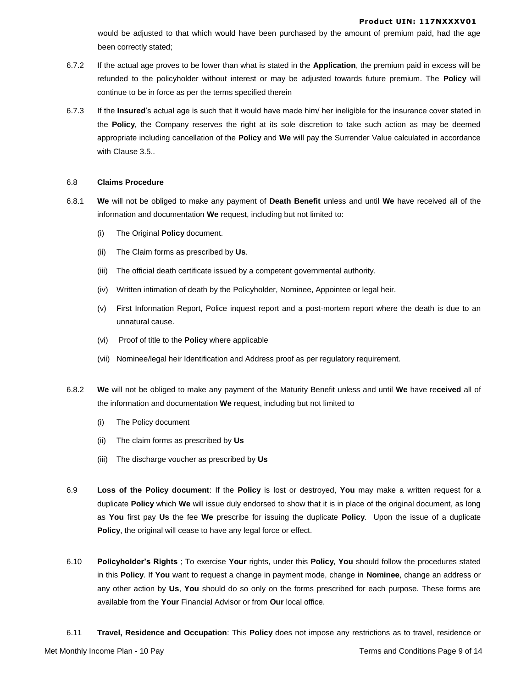would be adjusted to that which would have been purchased by the amount of premium paid, had the age been correctly stated;

- 6.7.2 If the actual age proves to be lower than what is stated in the **Application**, the premium paid in excess will be refunded to the policyholder without interest or may be adjusted towards future premium. The **Policy** will continue to be in force as per the terms specified therein
- 6.7.3 If the **Insured**'s actual age is such that it would have made him/ her ineligible for the insurance cover stated in the **Policy**, the Company reserves the right at its sole discretion to take such action as may be deemed appropriate including cancellation of the **Policy** and **We** will pay the Surrender Value calculated in accordance with Clause 3.5..

# 6.8 **Claims Procedure**

- 6.8.1 **We** will not be obliged to make any payment of **Death Benefit** unless and until **We** have received all of the information and documentation **We** request, including but not limited to:
	- (i) The Original **Policy** document.
	- (ii) The Claim forms as prescribed by **Us**.
	- (iii) The official death certificate issued by a competent governmental authority.
	- (iv) Written intimation of death by the Policyholder, Nominee, Appointee or legal heir.
	- (v) First Information Report, Police inquest report and a post-mortem report where the death is due to an unnatural cause.
	- (vi) Proof of title to the **Policy** where applicable
	- (vii) Nominee/legal heir Identification and Address proof as per regulatory requirement.
- 6.8.2 **We** will not be obliged to make any payment of the Maturity Benefit unless and until **We** have re**ceived** all of the information and documentation **We** request, including but not limited to
	- (i) The Policy document
	- (ii) The claim forms as prescribed by **Us**
	- (iii) The discharge voucher as prescribed by **Us**
- 6.9 **Loss of the Policy document**: If the **Policy** is lost or destroyed, **You** may make a written request for a duplicate **Policy** which **We** will issue duly endorsed to show that it is in place of the original document, as long as **You** first pay **Us** the fee **We** prescribe for issuing the duplicate **Policy**. Upon the issue of a duplicate **Policy**, the original will cease to have any legal force or effect.
- 6.10 **Policyholder's Rights** ; To exercise **Your** rights, under this **Policy**, **You** should follow the procedures stated in this **Policy**. If **You** want to request a change in payment mode, change in **Nominee**, change an address or any other action by **Us**, **You** should do so only on the forms prescribed for each purpose. These forms are available from the **Your** Financial Advisor or from **Our** local office.
- 6.11 **Travel, Residence and Occupation**: This **Policy** does not impose any restrictions as to travel, residence or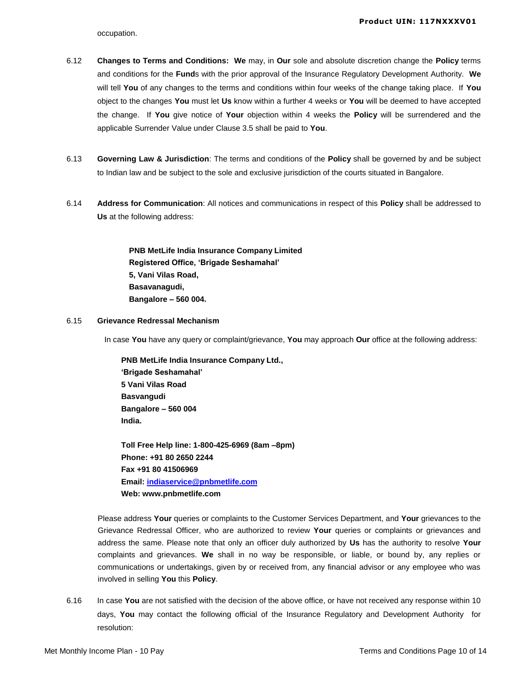occupation.

- 6.12 **Changes to Terms and Conditions: We** may, in **Our** sole and absolute discretion change the **Policy** terms and conditions for the **Fund**s with the prior approval of the Insurance Regulatory Development Authority. **We** will tell **You** of any changes to the terms and conditions within four weeks of the change taking place. If **You** object to the changes **You** must let **Us** know within a further 4 weeks or **You** will be deemed to have accepted the change. If **You** give notice of **Your** objection within 4 weeks the **Policy** will be surrendered and the applicable Surrender Value under Clause 3.5 shall be paid to **You**.
- 6.13 **Governing Law & Jurisdiction**: The terms and conditions of the **Policy** shall be governed by and be subject to Indian law and be subject to the sole and exclusive jurisdiction of the courts situated in Bangalore.
- 6.14 **Address for Communication**: All notices and communications in respect of this **Policy** shall be addressed to **Us** at the following address:

**PNB MetLife India Insurance Company Limited Registered Office, 'Brigade Seshamahal' 5, Vani Vilas Road, Basavanagudi, Bangalore – 560 004.**

### 6.15 **Grievance Redressal Mechanism**

In case **You** have any query or complaint/grievance, **You** may approach **Our** office at the following address:

**PNB MetLife India Insurance Company Ltd., 'Brigade Seshamahal' 5 Vani Vilas Road Basvangudi Bangalore – 560 004 India.** 

**Toll Free Help line: 1-800-425-6969 (8am –8pm) Phone: +91 80 2650 2244 Fax +91 80 41506969 Email: [indiaservice@pnbmetlife.com](mailto:indiaservice@pnbmetlife.com) Web: www.pnbmetlife.com** 

Please address **Your** queries or complaints to the Customer Services Department, and **Your** grievances to the Grievance Redressal Officer, who are authorized to review **Your** queries or complaints or grievances and address the same. Please note that only an officer duly authorized by **Us** has the authority to resolve **Your** complaints and grievances. **We** shall in no way be responsible, or liable, or bound by, any replies or communications or undertakings, given by or received from, any financial advisor or any employee who was involved in selling **You** this **Policy**.

6.16 In case **You** are not satisfied with the decision of the above office, or have not received any response within 10 days, **You** may contact the following official of the Insurance Regulatory and Development Authority for resolution: